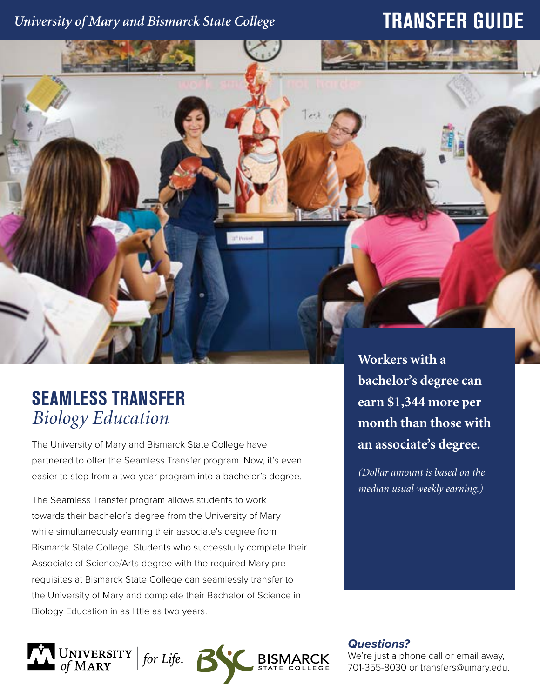## *University of Mary and Bismarck State College*

## **TRANSFER GUIDE**



## **SEAMLESS TRANSFER** *Biology Education*

The University of Mary and Bismarck State College have partnered to offer the Seamless Transfer program. Now, it's even easier to step from a two-year program into a bachelor's degree.

The Seamless Transfer program allows students to work towards their bachelor's degree from the University of Mary while simultaneously earning their associate's degree from Bismarck State College. Students who successfully complete their Associate of Science/Arts degree with the required Mary prerequisites at Bismarck State College can seamlessly transfer to the University of Mary and complete their Bachelor of Science in Biology Education in as little as two years.

**bachelor's degree can earn \$1,344 more per month than those with an associate's degree.** 

*(Dollar amount is based on the median usual weekly earning.)*

UNIVERSITY | for Life. **6**<br>of MARY **BISM**  *Questions?*

We're just a phone call or email away, 701-355-8030 or transfers@umary.edu.